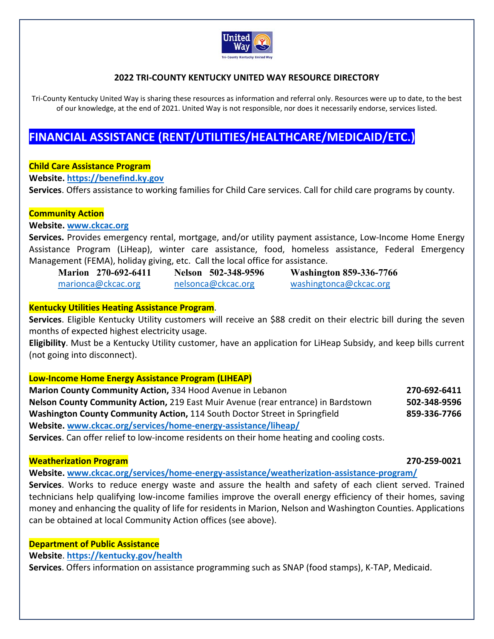

## **2022 TRI‐COUNTY KENTUCKY UNITED WAY RESOURCE DIRECTORY**

Tri-County Kentucky United Way is sharing these resources as information and referral only. Resources were up to date, to the best of our knowledge, at the end of 2021. United Way is not responsible, nor does it necessarily endorse, services listed.

# **FINANCIAL ASSISTANCE (RENT/UTILITIES/HEALTHCARE/MEDICAID/ETC.)**

### **Child Care Assistance Program**

**Website. https://benefind.ky.gov** 

**Services**. Offers assistance to working families for Child Care services. Call for child care programs by county.

### **Community Action**

### **Website. www.ckcac.org**

**Services.** Provides emergency rental, mortgage, and/or utility payment assistance, Low‐Income Home Energy Assistance Program (LiHeap), winter care assistance, food, homeless assistance, Federal Emergency Management (FEMA), holiday giving, etc. Call the local office for assistance.

**Marion 270-692-6411 Nelson 502-348-9596 Washington 859-336-7766**  marionca@ckcac.org melsonca@ckcac.org washingtonca@ckcac.org

### **Kentucky Utilities Heating Assistance Program**.

**Services**. Eligible Kentucky Utility customers will receive an \$88 credit on their electric bill during the seven months of expected highest electricity usage.

**Eligibility**. Must be a Kentucky Utility customer, have an application for LiHeap Subsidy, and keep bills current (not going into disconnect).

### **Low‐Income Home Energy Assistance Program (LIHEAP)**

**Marion County Community Action, 334 Hood Avenue in Lebanon 270 -692-6411 Nelson County Community Action,** 219 East Muir Avenue (rear entrance) in Bardstown **502‐348‐9596 Washington County Community Action,** 114 South Doctor Street in Springfield  **859-336-7766 Website. www.ckcac.org/services/home‐energy‐assistance/liheap/**

**Services**. Can offer relief to low‐income residents on their home heating and cooling costs.

### **Weatherization Program 270‐259‐0021**

**Website. www.ckcac.org/services/home‐energy‐assistance/weatherization‐assistance‐program/**

**Services**. Works to reduce energy waste and assure the health and safety of each client served. Trained technicians help qualifying low‐income families improve the overall energy efficiency of their homes, saving money and enhancing the quality of life for residents in Marion, Nelson and Washington Counties. Applications can be obtained at local Community Action offices (see above).

### **Department of Public Assistance**

## **Website**. **https://kentucky.gov/health**

**Services**. Offers information on assistance programming such as SNAP (food stamps), K‐TAP, Medicaid.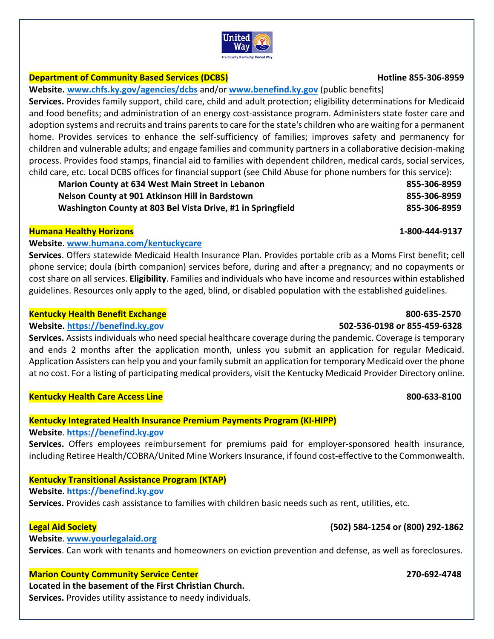## **Department of Community Based Services (DCBS) Hotline 855‐306‐8959**

**Website. www.chfs.ky.gov/agencies/dcbs** and/or **www.benefind.ky.gov** (public benefits)

**Services.** Provides family support, child care, child and adult protection; eligibility determinations for Medicaid and food benefits; and administration of an energy cost-assistance program. Administers state foster care and adoption systems and recruits and trains parents to care for the state's children who are waiting for a permanent home. Provides services to enhance the self-sufficiency of families; improves safety and permanency for children and vulnerable adults; and engage families and community partners in a collaborative decision‐making process. Provides food stamps, financial aid to families with dependent children, medical cards, social services, child care, etc. Local DCBS offices for financial support (see Child Abuse for phone numbers for this service):

| <b>Marion County at 634 West Main Street in Lebanon</b>     | 855-306-8959 |
|-------------------------------------------------------------|--------------|
| Nelson County at 901 Atkinson Hill in Bardstown             | 855-306-8959 |
| Washington County at 803 Bel Vista Drive, #1 in Springfield | 855-306-8959 |

## **Humana Healthy Horizons 1‐800‐444‐9137**

## **Website**. **www.humana.com/kentuckycare**

**Services**. Offers statewide Medicaid Health Insurance Plan. Provides portable crib as a Moms First benefit; cell phone service; doula (birth companion) services before, during and after a pregnancy; and no copayments or cost share on all services. **Eligibility**. Families and individuals who have income and resources within established guidelines. Resources only apply to the aged, blind, or disabled population with the established guidelines.

## **Kentucky Health Benefit Exchange 800‐635‐2570**

## **Website. https://benefind.ky.gov 502‐536‐0198 or 855‐459‐6328**

**Services.** Assists individuals who need special healthcare coverage during the pandemic. Coverage is temporary and ends 2 months after the application month, unless you submit an application for regular Medicaid. Application Assisters can help you and your family submit an application for temporary Medicaid over the phone at no cost. For a listing of participating medical providers, visit the Kentucky Medicaid Provider Directory online.

## **Kentucky Health Care Access Line 800‐633‐8100**

## **Kentucky Integrated Health Insurance Premium Payments Program (KI‐HIPP)**

## **Website**. **https://benefind.ky.gov**

Services. Offers employees reimbursement for premiums paid for employer-sponsored health insurance, including Retiree Health/COBRA/United Mine Workers Insurance, if found cost‐effective to the Commonwealth.

# **Kentucky Transitional Assistance Program (KTAP)**

**Website**. **https://benefind.ky.gov** 

**Services.** Provides cash assistance to families with children basic needs such as rent, utilities, etc.

## **Legal Aid Society (502) 584‐1254 or (800) 292‐1862**

**Website**. **www.yourlegalaid.org**

**Services**. Can work with tenants and homeowners on eviction prevention and defense, as well as foreclosures.

## **Marion County Community Service Center 270‐692‐4748**

**Located in the basement of the First Christian Church. Services.** Provides utility assistance to needy individuals.

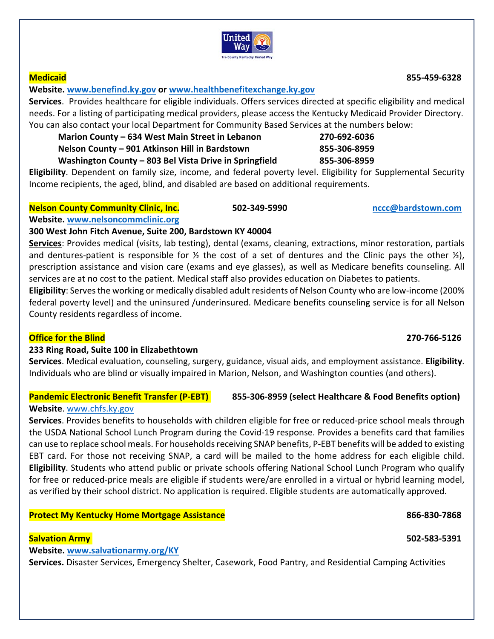

## **Website. www.benefind.ky.gov or www.healthbenefitexchange.ky.gov**

**Services**. Provides healthcare for eligible individuals. Offers services directed at specific eligibility and medical needs. For a listing of participating medical providers, please access the Kentucky Medicaid Provider Directory. You can also contact your local Department for Community Based Services at the numbers below:

| Marion County - 634 West Main Street in Lebanon        | 270-692-6036 |
|--------------------------------------------------------|--------------|
| Nelson County - 901 Atkinson Hill in Bardstown         | 855-306-8959 |
| Washington County - 803 Bel Vista Drive in Springfield | 855-306-8959 |

**Eligibility**. Dependent on family size, income, and federal poverty level. Eligibility for Supplemental Security Income recipients, the aged, blind, and disabled are based on additional requirements.

## **Nelson County Community Clinic, Inc. 502‐349‐5990 nccc@bardstown.com**

### **Website. www.nelsoncommclinic.org**

## **300 West John Fitch Avenue, Suite 200, Bardstown KY 40004**

**Services**: Provides medical (visits, lab testing), dental (exams, cleaning, extractions, minor restoration, partials and dentures-patient is responsible for  $\frac{1}{2}$  the cost of a set of dentures and the Clinic pays the other  $\frac{1}{2}$ , prescription assistance and vision care (exams and eye glasses), as well as Medicare benefits counseling. All services are at no cost to the patient. Medical staff also provides education on Diabetes to patients.

**Eligibility**: Serves the working or medically disabled adult residents of Nelson County who are low‐income (200% federal poverty level) and the uninsured /underinsured. Medicare benefits counseling service is for all Nelson County residents regardless of income.

## **Office for the Blind 270‐766‐5126**

## **233 Ring Road, Suite 100 in Elizabethtown**

**Services**. Medical evaluation, counseling, surgery, guidance, visual aids, and employment assistance. **Eligibility**. Individuals who are blind or visually impaired in Marion, Nelson, and Washington counties (and others).

## **Pandemic Electronic Benefit Transfer (P-EBT)** 855-306-8959 (select Healthcare & Food Benefits option)

## **Website**. www.chfs.ky.gov

**Services**. Provides benefits to households with children eligible for free or reduced‐price school meals through the USDA National School Lunch Program during the Covid‐19 response. Provides a benefits card that families can use to replace school meals. For households receiving SNAP benefits, P‐EBT benefits will be added to existing EBT card. For those not receiving SNAP, a card will be mailed to the home address for each eligible child. **Eligibility**. Students who attend public or private schools offering National School Lunch Program who qualify for free or reduced-price meals are eligible if students were/are enrolled in a virtual or hybrid learning model, as verified by their school district. No application is required. Eligible students are automatically approved.

## **Protect My Kentucky Home Mortgage Assistance 866‐830‐7868**

## **Salvation Army 502‐583‐5391**

## **Website. www.salvationarmy.org/KY**

**Services.** Disaster Services, Emergency Shelter, Casework, Food Pantry, and Residential Camping Activities

**Medicaid 855‐459‐6328**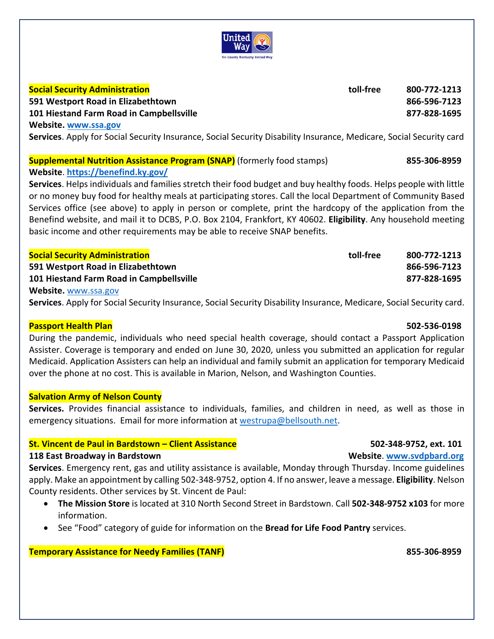

### **Social Security Administration toll‐free 800‐772‐1213**

**591 Westport Road in Elizabethtown 866‐596‐7123 101 Hiestand Farm Road in Campbellsville 877‐828‐1695** 

**Website. www.ssa.gov**

**Services**. Apply for Social Security Insurance, Social Security Disability Insurance, Medicare, Social Security card

## **Supplemental Nutrition Assistance Program (SNAP)** (formerly food stamps) **855‐306‐8959 Website**. **https://benefind.ky.gov/**

**Services**. Helps individuals and families stretch their food budget and buy healthy foods. Helps people with little or no money buy food for healthy meals at participating stores. Call the local Department of Community Based Services office (see above) to apply in person or complete, print the hardcopy of the application from the Benefind website, and mail it to DCBS, P.O. Box 2104, Frankfort, KY 40602. **Eligibility**. Any household meeting basic income and other requirements may be able to receive SNAP benefits.

| 800-772-1213 |
|--------------|
| 866-596-7123 |
| 877-828-1695 |
|              |

**Website.** www.ssa.gov

**Services**. Apply for Social Security Insurance, Social Security Disability Insurance, Medicare, Social Security card.

## **Passport Health Plan 502‐536‐0198**

During the pandemic, individuals who need special health coverage, should contact a Passport Application Assister. Coverage is temporary and ended on June 30, 2020, unless you submitted an application for regular Medicaid. Application Assisters can help an individual and family submit an application for temporary Medicaid over the phone at no cost. This is available in Marion, Nelson, and Washington Counties.

## **Salvation Army of Nelson County**

**Services.**  Provides financial assistance to individuals, families, and children in need, as well as those in emergency situations. Email for more information at westrupa@bellsouth.net.

## **St. Vincent de Paul in Bardstown – Client Assistance 502‐348‐9752, ext. 101**

## **118 East Broadway in Bardstown Website**. **www.svdpbard.org**

**Services**. Emergency rent, gas and utility assistance is available, Monday through Thursday. Income guidelines apply. Make an appointment by calling 502‐348‐9752, option 4. If no answer, leave a message. **Eligibility**. Nelson County residents. Other services by St. Vincent de Paul:

- **The Mission Store** is located at 310 North Second Street in Bardstown. Call **502‐348‐9752 x103** for more information.
- See "Food" category of guide for information on the **Bread for Life Food Pantry** services.

**Temporary Assistance for Needy Families (TANF) 855‐306‐8959**